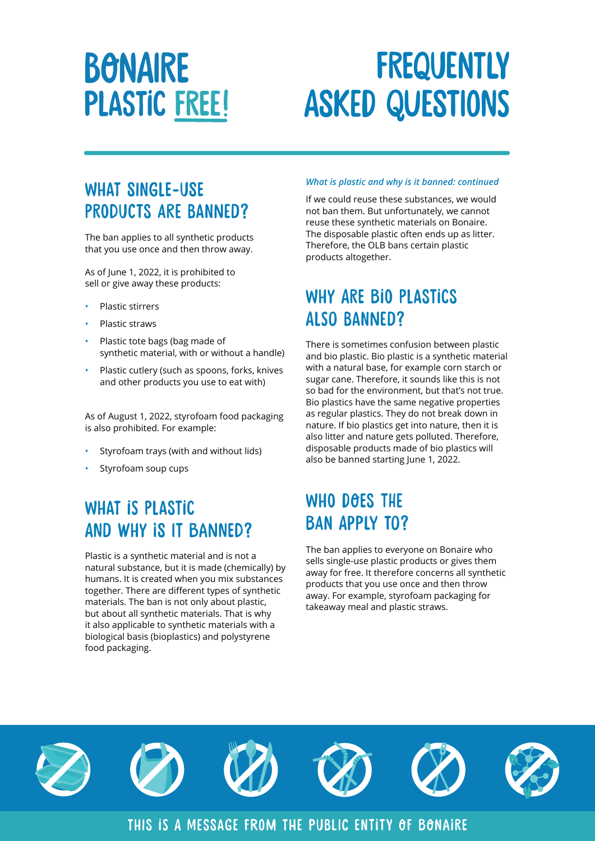# **BONAIRE PLASTIC FREE!**

# **FREQUENTLY** asked questions

### WHAT SINGLE-USE products are banned?

The ban applies to all synthetic products that you use once and then throw away.

As of June 1, 2022, it is prohibited to sell or give away these products:

- Plastic stirrers
- Plastic straws
- Plastic tote bags (bag made of synthetic material, with or without a handle)
- Plastic cutlery (such as spoons, forks, knives and other products you use to eat with)

As of August 1, 2022, styrofoam food packaging is also prohibited. For example:

- Styrofoam trays (with and without lids)
- Styrofoam soup cups

### What is plastic and why is it banned?

Plastic is a synthetic material and is not a natural substance, but it is made (chemically) by humans. It is created when you mix substances together. There are different types of synthetic materials. The ban is not only about plastic, but about all synthetic materials. That is why it also applicable to synthetic materials with a biological basis (bioplastics) and polystyrene food packaging.

#### *What is plastic and why is it banned: continued*

If we could reuse these substances, we would not ban them. But unfortunately, we cannot reuse these synthetic materials on Bonaire. The disposable plastic often ends up as litter. Therefore, the OLB bans certain plastic products altogether.

### WHY ARE BIO PLASTICS also banned?

There is sometimes confusion between plastic and bio plastic. Bio plastic is a synthetic material with a natural base, for example corn starch or sugar cane. Therefore, it sounds like this is not so bad for the environment, but that's not true. Bio plastics have the same negative properties as regular plastics. They do not break down in nature. If bio plastics get into nature, then it is also litter and nature gets polluted. Therefore, disposable products made of bio plastics will also be banned starting June 1, 2022.

### WHO DOES THE ban apply to?

The ban applies to everyone on Bonaire who sells single-use plastic products or gives them away for free. It therefore concerns all synthetic products that you use once and then throw away. For example, styrofoam packaging for takeaway meal and plastic straws.



This is a message from the public entity of bonaire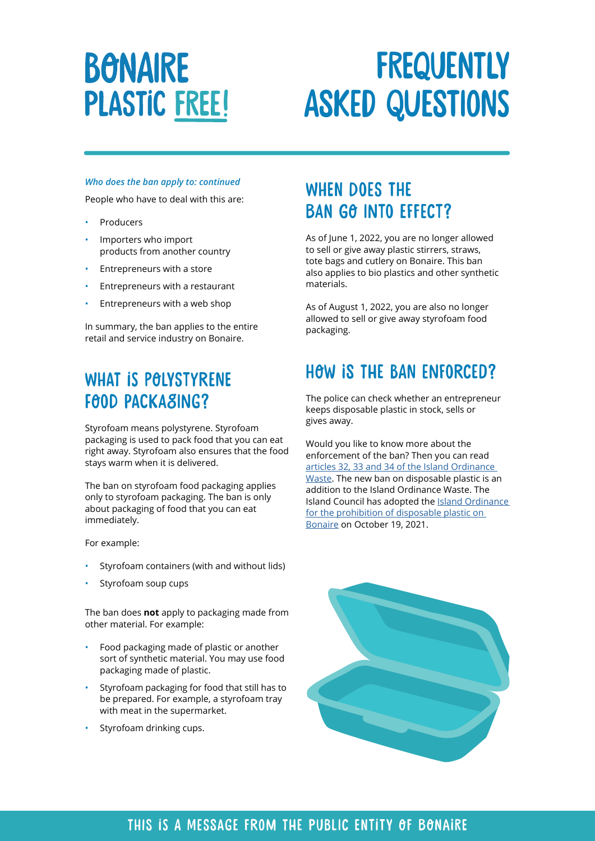## **BONAIRE PLASTIC FREE!**

# **FREQUENTLY** asked questions

#### *Who does the ban apply to: continued*

People who have to deal with this are:

- **Producers**
- Importers who import products from another country
- Entrepreneurs with a store
- Entrepreneurs with a restaurant
- Entrepreneurs with a web shop

In summary, the ban applies to the entire retail and service industry on Bonaire.

## WHAT IS POLYSTYRENE FOOD PACKASING?

Styrofoam means polystyrene. Styrofoam packaging is used to pack food that you can eat right away. Styrofoam also ensures that the food stays warm when it is delivered.

The ban on styrofoam food packaging applies only to styrofoam packaging. The ban is only about packaging of food that you can eat immediately.

For example:

- Styrofoam containers (with and without lids)
- Styrofoam soup cups

The ban does **not** apply to packaging made from other material. For example:

- Food packaging made of plastic or another sort of synthetic material. You may use food packaging made of plastic.
- Styrofoam packaging for food that still has to be prepared. For example, a styrofoam tray with meat in the supermarket.
- Styrofoam drinking cups.

#### WHEN DOES THE ban go into effect?

As of June 1, 2022, you are no longer allowed to sell or give away plastic stirrers, straws, tote bags and cutlery on Bonaire. This ban also applies to bio plastics and other synthetic materials.

As of August 1, 2022, you are also no longer allowed to sell or give away styrofoam food packaging.

### HOW IS THE BAN ENFORCED?

The police can check whether an entrepreneur keeps disposable plastic in stock, sells or gives away.

Would you like to know more about the enforcement of the ban? Then you can read [articles 32, 33 and 34 of the Island Ordinance](https://lokaleregelgeving.overheid.nl/CVDR665970)  [Waste.](https://lokaleregelgeving.overheid.nl/CVDR665970) The new ban on disposable plastic is an addition to the Island Ordinance Waste. The Island Council has adopted the [Island Ordinance](http://www.konsehoinsular.com/dsresource?objectid=17432&type=org&disposition=inline)  [for the prohibition of disposable plastic on](http://www.konsehoinsular.com/dsresource?objectid=17432&type=org&disposition=inline)  [Bonaire](http://www.konsehoinsular.com/dsresource?objectid=17432&type=org&disposition=inline) on October 19, 2021.



#### This is a message from the public entity of bonaire